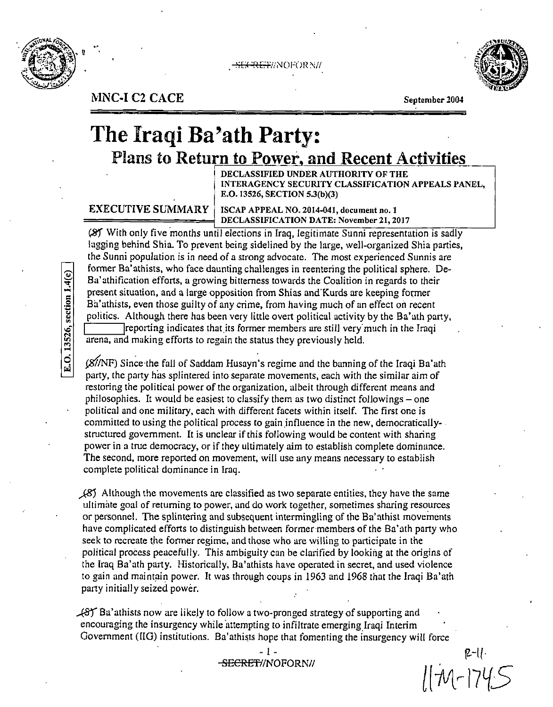

**:;r.:c**  'ft[~'r//N()F(>R~i/



NNC-I C2 CACE September 2004

# **The Iraqi Ba'ath Party:** Plans to Return to Power, and Recent Activities

DECLASSIFIED UNDER AUTHORITY OF THE INTERAGENCY SECURITY CLASSIFICATION APPEALS PANEL, E.O. 13526, SECTION 5.3(b)(3)

EXECUTIVE SUMMARY

ISCAP APPEAL NO. 2014-041, document no. 1 DECLASSIFICATION DATE: November 21, 2017 ==========~

(8) With only five months until elections in Iraq, legitimate Sunni representation is sadly lagging behind Shia. To prevent being sidelined by the large, well-organized Shia parties, the Sunni population is in need of a strong advocate. The most experienced Sunnis are former Ba'athists, who face daunting challenges in reentering the political sphere. De-Ba'athification efforts, a growing bitterness towards the Coalition in regards to their present situation, and a large opposition from Shias and'Kurds are keeping former Ba'athists, even those guilty of any crime, from having much of an effect on recent politics. Although there has been very little overt political activity by the Ba'ath party, I reporting indicates that its former members are still very much in the Iraqi arena, and making efforts to regain the status they previously held.

 $(X/NF)$  Since the fall of Saddam Husayn's regime and the banning of the Iraqi Ba'ath party, the party has splintered into separate movements, each with the similar aim of restoring the political power of the organization, albeit through different means and philosophies. It would be easiest to classify them as two distinct followings – one political and one military, each with different facets within itself. The first one is committed to using the political process to gain influence in the new, democraticallystructured government. It is unclear if this following would be content with sharing power in a true democracy, or if they ultimately aim co establish complete dominance. The second, more reported on movement, will use any means necessary to establish complete political dominance in Iraq.

*)BJ* Although the movements are classified as two separate entities, they have the same ultimate goal of returning to power, and do work together, sornetimes sharing resources or personnel. The splintering and subsequent intermingling of the Ba'athist movements have complicated efforts to distinguish between former members of the Ba'ath party who seek to recreate the former regime, and those who are willing co participate in the political process peacefully. This ambiguity can be clarified by looking at the origins of the Iraq Ba'ath party. Historically, Ba'athists have operated in secret, and used violence to gain and maintain power. It was through coups in 1963 and 1968 that the Iraqi Ba'ath party initially seized power.

 $\sqrt{8}$  Ba'athists now are likely to follow a two-pronged strategy of supporting and encouraging the insurgency while attempting to infiltrate emerging Iraqi Interim Government (IIG) institutions. Ba'athists hope that fomenting the insurgency will force

 $2-11$  $11745$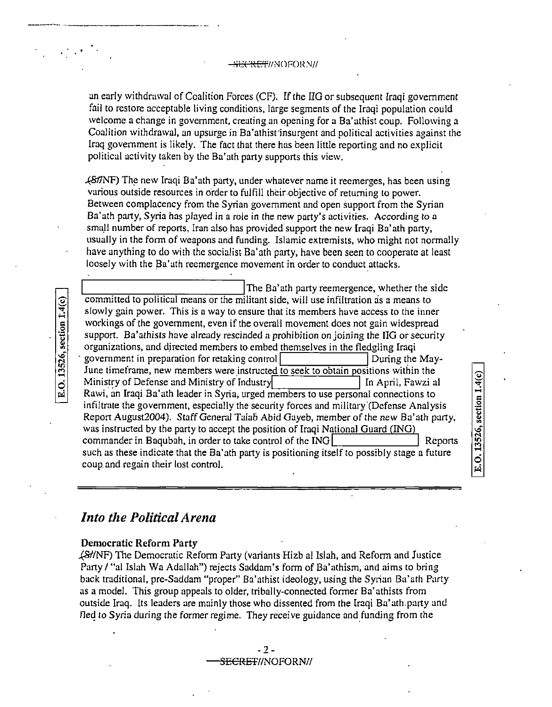<del>- SECRET</del>//NOFORN//

an early withdrawal of Coalition Forces (CF). ff the IIG or subsequent Iraqi government fail to restore acceptable living conditions, large segments of the Iraqi population could welcome a change in government, creating an opening for a Ba'athist coup. Following a Coalition withdrawal, an upsurge in Ba'athist'insurgent and political activities against the Iraq government is likely. The fact that there has been little reporting and no explicit political activity taken by the Ba'ath party supports this view .

*4817NF)* The new Iraqi Ba'ath party, under whatever name it reemerges, has been using various outside resources in order to fulfill their objective of returning to power. Between complacency from the Syrian government and open support from the Syrian Ba'ath party, Syria has played in a role in the new party's activities. According to a small number of reports, Iran also has provided support the new Iraqi Ba'ath party, usually in the form of weapons and funding. Islamic extremists, who might not normally have anything to do with the socialist Ba'ath party, have been seen to cooperate at least loosely with the Ba'ath reemergence movement in order to conduct attacks.

The Ba'ath party reemergence, whether the side committed to political means or the militant side, will use infiltration as a means to slowly gain power. This is a way to ensure that its members have access to the inner workings of the government, even if the overall movement does not gain widespread support. Ba'athists have already rescinded a prohibition on joining the IIG or security organizations, and directed members to embed themselves in the fledgling Iraqi government in preparation for retaking control **During the May-**June timeframe, new members were instructed to seek to obtain positions within the Ministry of Defense and Ministry of Industry **III.** In April, Fawzi al Rawi, an Iraqi Ba'ath leader in Syria, urged members to use personal connections to infiltrate the government, especially the security forces and military'(Defense Analysis Report August2004). Staff General Talab Abid Gayeb, member of the new Ba'ath party, was instructed by the party to accept the position of Iraqi National Guard (ING) commander in Baqubah, in order to take control of the ING in Terminian in Terminian Reports such as these indicate that the Ba' ath party is positioning itself to possibly stage a future coup and regain their lost control.

E.O. 13526, section 1.4(c)

*Into the Political Arena* 

### **Democratic Reform Party**

E.O. 13526, section 1.4(c)

---~·--· ·-----·-------------·. -

.(Sf/NF) The Democratic Reform Party (variants Hizb al Isiah, and Reform and Justice Party / "al Islah Wa Adallah") rejects Saddam's form of Ba'athism, and aims to bring back traditional, pre-Saddam "proper" Ba'athist ideology, using the Syrian Ba'ath Party as a model. This group appeals to older, tribally-connected former Ba' athists from outside Iraq. Its leaders are mainly those who dissented from the Iraqi Ba'ath.party and fled to Syria during the former regime. They receive guidance and funding from the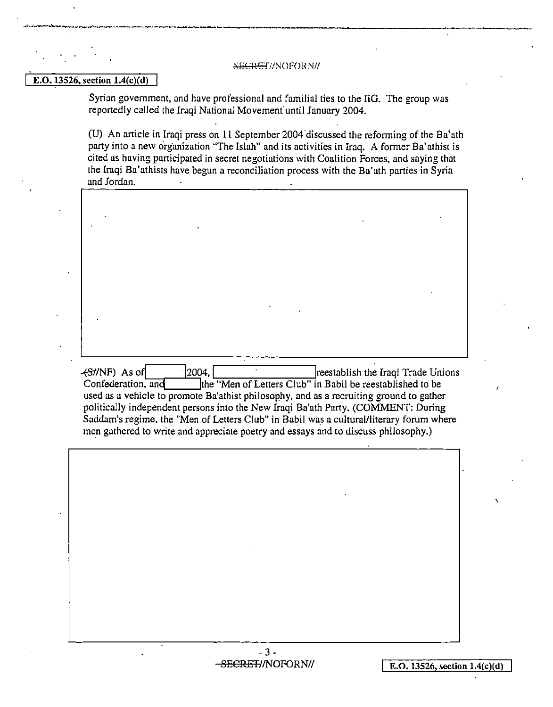#### \*ECRET//NOFOR N/

 $\mathcal{L}^1_{1,1,1,2}$  . The construction of the composite  $\mathcal{L}^1_{2,1}$  is the composite  $\mathcal{L}^1_{2,1}$  is the composite of the composite  $\mathcal{L}^1_{2,1}$ 

#### E.0.13526, section l.4(c)(d)

Syrian government, and have professional and familial ties to the IIG. The group was reportedly called the Iraqi National Movement' until January 2004.

(U) An article in Iraqi press on 11 September2004.discussed the reforming of the Ba'ath party into a new organization "The Isiah" and its activities in Iraq. A former Ba'athist is cited as having participated in secret negotiations with Coalition Forces, and saying that the Iraqi Ba'athists have begun a reconciliation process with the Ba'ath parties in Syria and Jordan.

-(81/NF) As ofl ·12004, reestablish the Iraqi Trade Unions Ithe "Men of Letters Club" in Babil be reestablished to be used as a vehicle to promote Ba'athist philosophy, and as a recruiting ground to gather politically independent persons into the New Iraqi Ba'ath Party. (COMMENT: During Saddam's regime, the "Men of Letters Club" in Babil was a cultural/literary forum where men gathered to write and appreciate poetry and essays and to discuss philosophy.)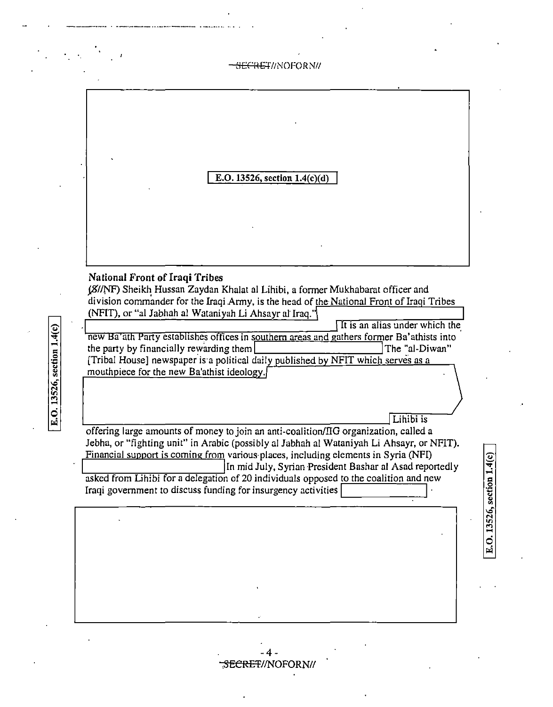|                                                                                                                                | <del>RET</del> I/NOFORNI/                                                                                                                                                                                                                                                                                                                                                                                                                                                  |
|--------------------------------------------------------------------------------------------------------------------------------|----------------------------------------------------------------------------------------------------------------------------------------------------------------------------------------------------------------------------------------------------------------------------------------------------------------------------------------------------------------------------------------------------------------------------------------------------------------------------|
|                                                                                                                                | E.O. 13526, section $1.4(c)(d)$                                                                                                                                                                                                                                                                                                                                                                                                                                            |
| <b>National Front of Iraqi Tribes</b><br>the party by financially rewarding them<br>mouthpiece for the new Ba'athist ideology. | (8//NF) Sheikh Hussan Zaydan Khalat al Lihibi, a former Mukhabarat officer and<br>division commander for the Iraqi Army, is the head of the National Front of Iraqi Tribes<br>(NFIT), or "al Jabhah al Wataniyah Li Ahsayr al Iraq."<br>It is an alias under which the<br>new Ba'ath Party establishes offices in southern areas and gathers former Ba'athists into<br>The "al-Diwan"<br>[Tribal House] newspaper is a political daily published by NFIT which serves as a |
|                                                                                                                                | Lihibi is<br>$\alpha$ feging large emounts of money to igin an enti-coolition ( $\alpha$ ) organization, called a                                                                                                                                                                                                                                                                                                                                                          |

offering large amounts of money to join an anti-coalition/IIG organization, called a Jebha, or "fighting unit" in Arabic (possibly al Jabhah al Wataniyah Li Ahsayr, or NFIT). Financial support is coming from various places, including elements in Syria (NFI)<br>In mid July, Syrian President Bashar al Asad repo In mid July, Syrian ·President Bashar al Asad reportedly

asked from Lihibi for a delegation of 20 individuals opposed to the coalition and new Iraqi government to discuss funding for insurgency activities

-4 .SECRET//NOFORN//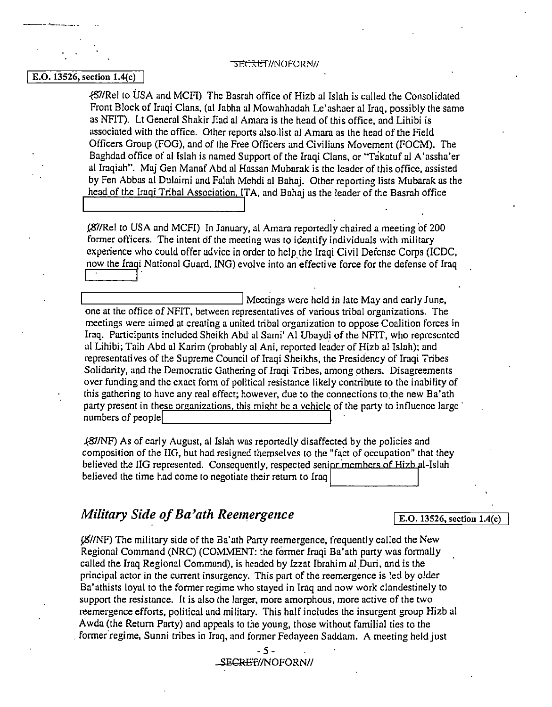#### TSECRET//NOFORN//

#### E.O. 13526, section 1.4(c)

----··--·---·

{57/Rel to USA and MCFI) The Basrah office of Hizb al Isiah is called the Consolidated Front Block of Iraqi Clans, (al Jabha al Mowahhadah Le'ashaer al Iraq. possibly the same as NFIT). Lt General Shakir Jiad al Amara is the head of this office, and Lihibi is associated with the office. Other reports also.list al Amara as the head of the Field Officers Group (FOG), and of the Free Officers and Civilians Movement (FOCM). The Baghdad office of al Isiah is named Support of the Iraqi Clans, or "Takatuf al A'assha'er al Iraqiah". Maj Gen Manaf Abd al Hassan Mubarak is the leader of this office, assisted by Fen Abbas al Dulaimi and Falah Mehdi al Bahaj. Other reporting lists Mubarak as the head of the Iraqi Tribal Association, ITA, and Bahaj as the leader of the Basrah office I I

(87/Rel to USA and MCFI) In January, al Amara reportedly chaired a meeting of 200 former officers. The intent of the meeting was to identify individuals with military experience who could offer advice in order to help the Iraqi Civil Defense Corps (!CDC, now the Iraqi National Guard, ING) evolve into an effective force for the defense of Iraq

.\_\_\_\_\_\_\_\_\_\_\_\_\_\_\_\_\_, Meetings were held in late May and early June, one at the office of NFIT, between representatives of various tribal organizations. The meetings were aimed at creating a united tribal organization to oppose Coalition forces in Iraq. Participants included Sheikh Abd al Sumi' Al Ubaydi of the NFIT, who represented al Lihibi; Taih Abd al Karim (probably al Ani, reported leader of Hizb al Isiah); and representatives of the Supreme Council of Iraqi Sheikhs, the Presidency of Iraqi Tribes Solidarity, and the Democratic Gathering of Iraqi Tribes, among others. Disagreements over funding and the exact fonn of political resistance likely contribute to the inability of this gathering to have any real effect; however, due to the connections to.the new Ba'ath party present in these organizations, this might be a vehicle of the party to influence large in numbers of people

*k:871NF)* As of early August, al fsiah was reportedly disaffected by the policies and composition of the IIG, but had resigned themselves to the "fact of occupation" that they believed the IIG represented. Consequently, respected senior members of Hizb al-Islah believed the time had come to negotiate their return to Iraq

# *Military Side of Ba'ath Reemergence* E.O. 13526, section 1.4(c)

¢/INF) The military side of the Ba'ath Party reemergence, frequently called the New Regional Command (NRC) (COMMENT: the former Iraqi Ba'ath party was formally called the Iraq Regional Command), is headed by Izzat Ibrahim al\_Duri, and is the principal actor in the current insurgency. This part of the reemergence is led by older Ba'athists loyal to the former regime who stayed in Iraq and now work clandestinely to support the resistance. It is also the larger, more amorphous, more active of the two reemergence efforts, political and military. This half includes the insurgent group Hizb al Awda (the Return Party) and appeals to the young, those without familial ties to the . former'regime, Sunni tribes in Iraq, and former Fedayeen Saddam. A meeting held just

#### - 5 SsCRET//NOFORN//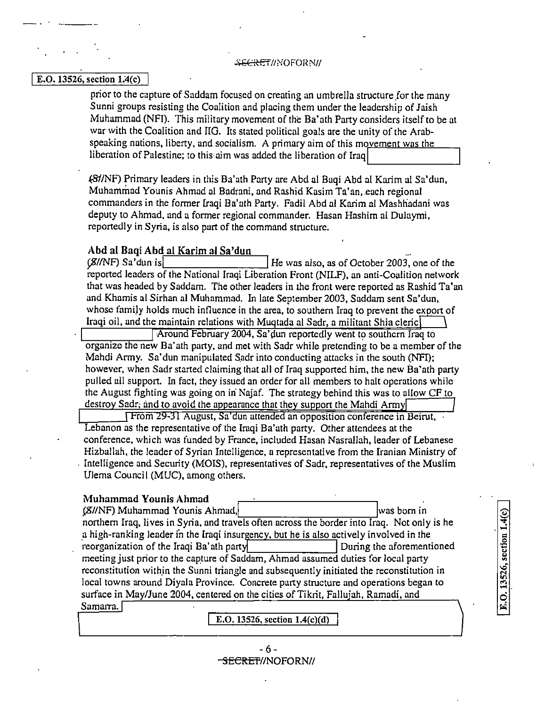#### SECR F.f//ciOf'OI~ *NII*

#### $E. O. 13526$ , section  $1.4(c)$

prior to the capture of Saddam focused on creating an umbrella structure for the many Sunni groups resisting the Coalition and placing them under the leadership of Jaish Muhammad (NFI). This military movement of the Ba'ath Party considers itself to be at war with the Coalition and IIG. Its stated political goals are the unity of the Arabspeaking nations, liberty, and socialism. A primary aim of this movement was the liberation of Palestine; to this aim was added the liberation of Iraq

*481/NF)* Primary leaders in this Ba'ath Party are Abd al Baqi Abd al Karim al Sa'dun, Muhammad Younis Ahmad al Badrani, and Rashid Kasim Ta'an, each regional commanders in the former Iraqi Ba'ath Party. Fadil Abd al Karim al Mashliadani was deputy to Ahmad, and a former regional commander. Hasan Hashim al Dulaymi, reportedly in Syria, is also part of the command structure.

# Abd al Baqi Abd al Karim al Sa'dun<br>(*S*//NF) Sa'dun is

*He was also, as of October 2003, one of the* reported leaders of the National Iraqi Liberation Front (N!LF), an anti-Coalition network that was headed by Saddam. The other leaders in the front were reported as Rashid Ta'an and Khamis al Sirhan al Muhammad. In late September 2003, Saddam sent Sa'dun, whose family holds much influence in the area, to southern Iraq to prevent the export of Iraqi oil, and the maintain relations with Muqtada al Sadr, a militant Shia cleric

Around February 2004, Sa'dun reportedly went to southern Iraq to organize the new Ba' ath party, and met with Sadr while pretending to be a member of the Mahdi Army. Sa'dun manipulated Sadr into conducting attacks in the south (NFI); however, when Sadr started claiming that all of Iraq supported him, the new Ba'ath party pulled all support. In fact, they issued an order for all members to halt operations while the August fighting was going on in· Najaf. The strategy behind this was to allow CF to destroy Sadr; and to avoid the appearance that they support the Mahdi Army

From 29-31 August, Sa'dun attended an opposition conference in Beirut, Lebanon as the representative of the Iraqi Ba'ath party. Other attendees at the conference, which was funded by France, included Hasan Nasrallah, leader of Lebanese Hizballah, the leader of Syrian Intelligence, a representative from the Iranian Ministry of . Intelligence and Security (MOIS), representatives of Sadr, representatives of the Muslim Ulema Council (MUC), among others.

| Muhammad Younis Ahmad                                                                        |                           |
|----------------------------------------------------------------------------------------------|---------------------------|
| (S//NF) Muhammad Younis Ahmad,                                                               | was born in               |
| northern Iraq, lives in Syria, and travels often across the border into Iraq. Not only is he |                           |
| a high-ranking leader in the Iraqi insurgency, but he is also actively involved in the       |                           |
| reorganization of the Iraqi Ba'ath party                                                     | During the aforementioned |
| meeting just prior to the capture of Saddam, Ahmad assumed duties for local party            |                           |
| reconstitution within the Sunni triangle and subsequently initiated the reconstitution in    |                           |
| local towns around Diyala Province. Concrete party structure and operations began to         |                           |
| surface in May/June 2004, centered on the cities of Tikrit, Fallujah, Ramadi, and            |                           |
| Samarra.                                                                                     |                           |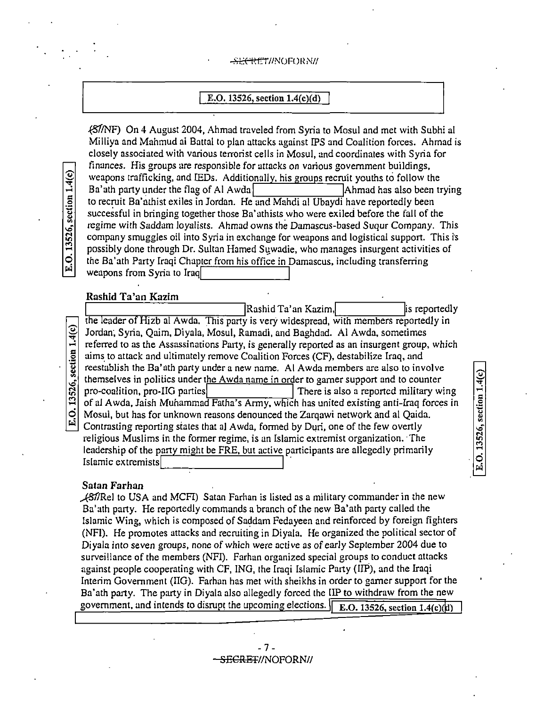#### <del>SECRET</del>//NOFORN//

### E.O. 13526, section 1.4(c)(d)

481/NF) On 4 August 2004, Ahmad traveled from Syria to Mosul and met with Subhi al Milliya and Mahmud al Battal to plan attacks against IPS and Coalition forces. Ahmad is closely associated with various terrorist cells in Mosul, and coordinates with Syria for finances. His groups are responsible for attacks on various government buildings, weapons trafficking, and IEDs. Additionally, his groups recruit youths to follow the  $Ba'$  ath party under the flag of Al Awda to recruit Ba'athist exiles in Jordan. He and Mahdi al Ubaydi have reportedly been successful in bringing together those Ba'uthists who were exiled before the fall of the regime with Saddam loyalists. Ahmad owns the Damascus-based Suqur Company. This company smuggles oil into Syria in exchange for weapons and logistical support. This is possibly done through Dr. Sultan Hamed Suwadie, who manages insurgent activities of the Ba'ath Party Iraqi Chapter from his office in Damascus, including transferring weapons from Syria to Iraq

#### Rashid Ta'an Kazim

 $\lceil$ Rashid Ta'an Kazim,  $\lceil$  is reportedly the leader of Hizb al Awda. This party is very widespread, with members reportedly in  $\frac{Q}{\sigma}$  Jordan; Syria, Qaim, Diyala, Mosul, Ramadi, and Baghdad. Al Awda, sometimes<br>referred to as the Assassinations Party, is generally reported as an insurgent group.  $\frac{1}{2}$  referred to as the Assassinations Party, is generally reported as an insurgent group, which aims to attack and ultimately remove Coalition Forces (CF), destabilize Iraq, and  $\frac{15}{8}$  aims to attack and ultimately remove Coalition Forces (CF), destabilize Iraq, and reestablish the Ba'ath party under a new name. Al Awda members are also to inv reestablish the Ba'ath party under a new name. Al Awda members are also to involve themselves in politics under the Awda name in order to gamer support and to counter<br> $\frac{1}{20}$  pro-coalition, pro-IIG parties<br>of al Awda, Jaish Muhammad Fatha's Army, which has united existing anti-Iraq force There is also a reported military wing ::<br>
of al Awda, Jaish Muhammad Fatha's Army, which has united existing anti-Iraq forces in<br>
O Mosul, but has for unknown reasons denounced the Zarqawi network and al Qaida.<br>
Contrating propring states that al Aude formed b Mosul, but has for unknown reasons denounced the Zarqawi network and al Qaida. Contrasting reporting states that al Awda, formed by Duri, one of the few overtly religious Muslims in the former regime, is an Islamic extremist organization. ·The leadership of the party might be FRE, but active participants are allegedly primarily Islamic extremists

#### Satan Farhan

,...(817Rel to USA and MCFI) Satan Farhan is listed as a military commander in the new Ba'ath party. He reportedly commands a branch of the new Ba'ath party called the Islamic Wing, which is composed of Saddam Fedayeen and reinforced by foreign fighters (NF!). He promotes attacks and recruiting in Diyala. He organized the political sector of Diyala into seven groups, none of which were active as of early September 2004 due to surveillance of the members (NF!). Farhan organized special groups to conduct attacks against people cooperating with CF, ING, the Iraqi Islamic Party (!IP), and the Iraqi Interim Government (IIG). Farhan has met with sheikhs in order to gamer support for the Ba'ath party. The party in Diyala also allegedly forced the IIP to withdraw from the new government, and intends to disrupt the upcoming elections. E.O. 13526, section 1.4(c) $(d)$ 

> $-7-$ - SE<del>CRET</del>//NOFORN//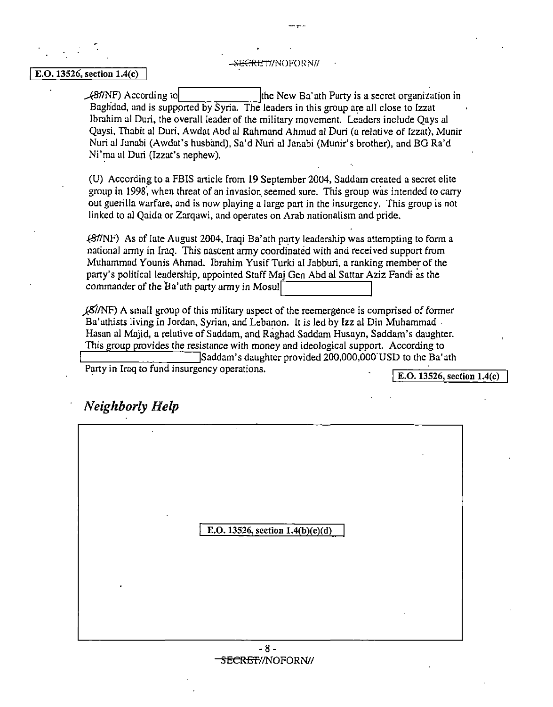--,-··-·

# **E.O. 13526, section 1.4(c)** SECRETI/NOFORN/

 $\angle$ S/TNF) According to the New Ba' ath Party is a secret organization in Baghdad, and is supported by Syria. The leaders in this group are all close to Izzat Ibrahim al Duri, the overall leader of the military movement. Leaders include Oays al Qaysi, Thabit al Duri, Awdat Abd al Rahmand Ahmad al Duri (a relative of [zzat), Munir Nuri al Janabi (Awdat's husband), Sa'd Nuri al Janabi (Munir's brother), and BG Ra'd Ni'ma al Duri (Izzat's nephew).

(U) According to a FBIS article from 19 September 2004, Saddam created a secret elite group in 1998: when threat of an invasion, seemed sure. This group was intended to carry out guerilla warfare, and is now playing a large part in the insurgency. This group is not linked to al Qaida or Zarqawi, and operates on Arab nationalism and pride.

.(81/NF) As of late August 2004, [raqi Ba'ath party leadership was attempting to form a national army in Iraq. This nascent anny coordinated with and received support from Muhammad Younis Ahmad. Ibrahim Yusif Turki al Jabburi, a ranking member of the party's political leadership, appointed Staff Maj Gen Abd al Sattar Aziz Fandi as the commander of the Ba'ath party army in Mosul

 $\frac{\cancel{25}}{\cancel{10}}$  A small group of this military aspect of the reemergence is comprised of former Ba'athists living in Jordan, Syrian, and Lebanon. It is led by Izz al Din Muhammad . Hasan al Majid, a relative of Saddam, and Raghad Saddam Husayn, Saddam's daughter. This group provides the resistance with money and ideological support. According to Saddam's daughter provided 200,000,000 USD to the Ba'ath Party in Iraq to fund insurgency operations.

. E.O. 13526, section 1.4(c)

## *Neighborly Help*

| ٠ | $\bullet$<br>E.O. 13526, section $1.4(b)(c)(d)$ |  |
|---|-------------------------------------------------|--|
|   |                                                 |  |

 $- 8 -$ SECRET//NOFORN//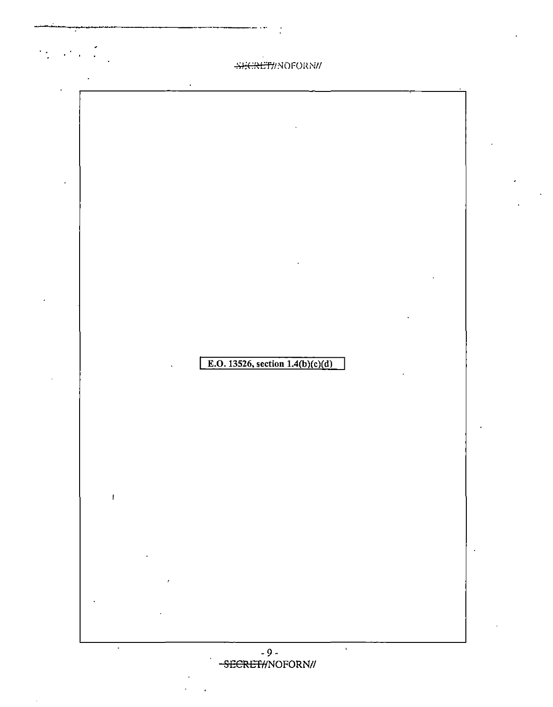| $\bullet$<br>SHCRET//NOFORN//                                                                                                                                                |                                    |  |
|------------------------------------------------------------------------------------------------------------------------------------------------------------------------------|------------------------------------|--|
|                                                                                                                                                                              |                                    |  |
|                                                                                                                                                                              |                                    |  |
|                                                                                                                                                                              |                                    |  |
|                                                                                                                                                                              |                                    |  |
|                                                                                                                                                                              |                                    |  |
|                                                                                                                                                                              |                                    |  |
|                                                                                                                                                                              |                                    |  |
|                                                                                                                                                                              |                                    |  |
|                                                                                                                                                                              |                                    |  |
|                                                                                                                                                                              |                                    |  |
|                                                                                                                                                                              |                                    |  |
|                                                                                                                                                                              |                                    |  |
|                                                                                                                                                                              |                                    |  |
|                                                                                                                                                                              |                                    |  |
|                                                                                                                                                                              |                                    |  |
|                                                                                                                                                                              |                                    |  |
|                                                                                                                                                                              |                                    |  |
|                                                                                                                                                                              |                                    |  |
|                                                                                                                                                                              |                                    |  |
|                                                                                                                                                                              |                                    |  |
|                                                                                                                                                                              |                                    |  |
|                                                                                                                                                                              |                                    |  |
|                                                                                                                                                                              |                                    |  |
|                                                                                                                                                                              |                                    |  |
|                                                                                                                                                                              | E.O. 13526, section $1.4(b)(c)(d)$ |  |
|                                                                                                                                                                              |                                    |  |
|                                                                                                                                                                              |                                    |  |
|                                                                                                                                                                              |                                    |  |
|                                                                                                                                                                              |                                    |  |
|                                                                                                                                                                              |                                    |  |
|                                                                                                                                                                              |                                    |  |
|                                                                                                                                                                              |                                    |  |
|                                                                                                                                                                              |                                    |  |
|                                                                                                                                                                              |                                    |  |
|                                                                                                                                                                              |                                    |  |
| $\pmb{\mathsf{I}}$                                                                                                                                                           |                                    |  |
|                                                                                                                                                                              |                                    |  |
|                                                                                                                                                                              |                                    |  |
|                                                                                                                                                                              |                                    |  |
|                                                                                                                                                                              |                                    |  |
| $\mathcal{L}^{\mathcal{L}}(\mathcal{L}^{\mathcal{L}})$ and $\mathcal{L}^{\mathcal{L}}(\mathcal{L}^{\mathcal{L}})$ and $\mathcal{L}^{\mathcal{L}}(\mathcal{L}^{\mathcal{L}})$ |                                    |  |
|                                                                                                                                                                              |                                    |  |
| $\mathcal{L}(\mathcal{L}(\mathcal{L}))$ . The $\mathcal{L}(\mathcal{L})$                                                                                                     |                                    |  |
|                                                                                                                                                                              |                                    |  |
|                                                                                                                                                                              |                                    |  |
| $\mathcal{L}^{\mathcal{L}}(\mathcal{A})$ , where $\mathcal{L}^{\mathcal{L}}(\mathcal{A})$                                                                                    |                                    |  |
|                                                                                                                                                                              |                                    |  |

 $\mathcal{A}^{\text{max}}_{\text{max}}$ 

 $\frac{1}{2}$ 

 $\Delta$ 

 $\ddot{\phantom{a}}$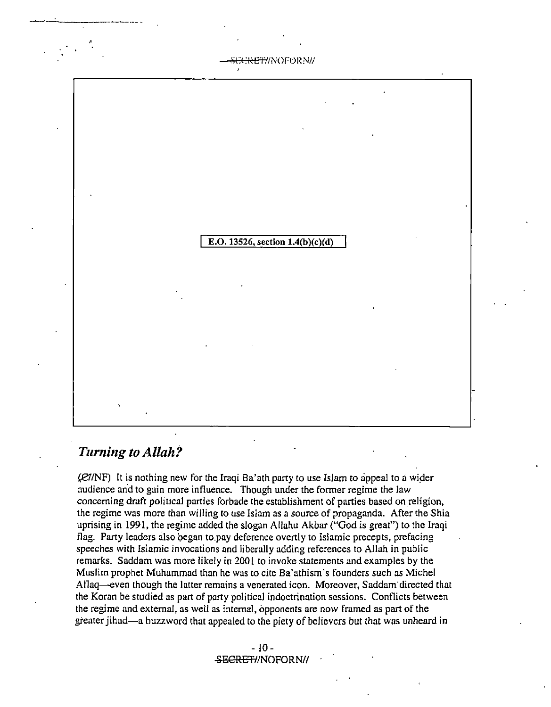<del>:RET/</del>/NOFOR NI/

E.O. 13526, section 1.4(b)(c)(d)

## *Turning to Allah?*

-----------·-- <sup>4</sup>

 $(R7/N)$  It is nothing new for the Iraqi Ba'ath party to use Islam to appeal to a wider audience and to gain more influence. Though under the former regime the law concerning draft political parties forbade the establishment of parties based on religion, the regime was more than willing to use Islam as a source of propaganda. After the Shia uprising in 1991, the regime added the slogan Allahu Akbar ("God is great") to the Iraqi flag. Party leaders also began to pay deference overtly to Islamic precepts, prefacing speeches with Islamic invocations and liberally adding references to Allah in public remarks. Saddam was more likely in 2001 to invoke statements and examples by the Muslim prophet Muhammad than he was to cite Ba'athism's founders such as Michel Aflaq--even though the latter remains a venerated icon. Moreover, Saddam· directed that the Koran be studied as part of party political indoctrination sessions. Conflicts between the regime and external, as well as internal, opponents are now framed as part of the greater jihad-a buzzword that appealed to the piety of believers but that was unheard in

> $-10-$ SECRET//NOFORN//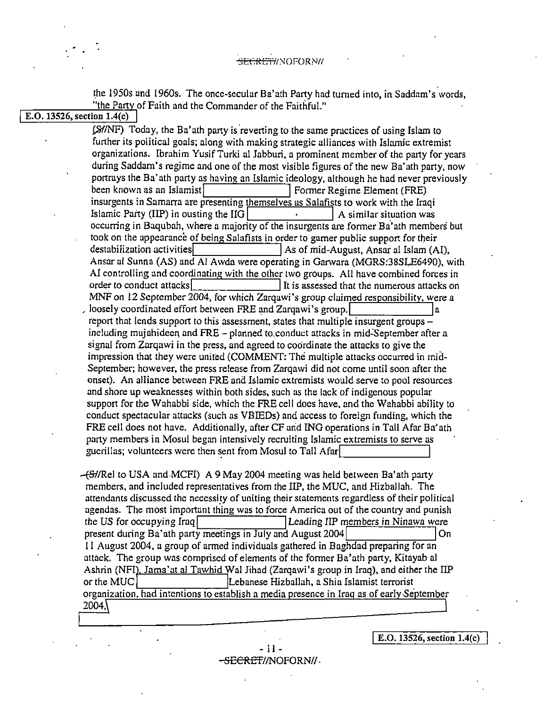#### $\rightarrow$ <del>ricriti/</del> Noforni/

the 1950s and 1960s·. The once-secular Ba'ath Party had turned into, in Saddam's words,  $\frac{1}{\text{E.O. 13526, section 1.4(c)}}$  The Party of Faith and the Commander of the Faithful."

(S//NF) Today, the Ba'ath party is reverting to the same practices of using Islam to further its political goals; along with making strategic alliances with Islamic extremist organizations. Ibrahim Yusif Turki al Jabburi, a prominent member of the party for years during Saddam's regime and one of the most visible figures of the new Ba'ath party, now portrays the Ba'ath party as having an Islamic ideology, although he had never previously<br>been known as an Islamist Former Regime Element (FRE) insurgents in Samarra are presenting themselves as Salafists to work with the Iraqi Islamic Party (IIP) in ousting the IIG  $\vert$   $\vert$  A similar situation was occurring in Baqubah, where a majority of the insurgents are former Ba'ath members but took on the appearance of being Salafists in order to gamer public support for their<br>destabilization activities As of mid-August, Ansar al Islam (AI), Ansar al Sunna (AS) and Al Awda were operating in Ganvara (MGRS:38SLE6490), with AI controlling and coordinating with the other two groups. All have combined forces in order to conduct attacks  $\sqrt{\frac{1}{1}}$  It is assessed that the numerous attacks on It is assessed that the numerous attacks on MNF on 12 September 2004, for which Zarqawi's group claimed responsibility, were a , loosely coordinated effort between FRE and Zargawi's group. report that lends support to this assessment, states that multiple insurgent groups – including mujahideen and FRE - planned to.conduct attacks in mid:September after a signal from Zarqawi in the press, and agreed to coordinate the attacks to give the impression that they were united (COMMENT: The multiple attacks occurred in mid. September; however, the press release from Zarqawi did not come until soon after the onset). An alliance between FRE and Islamic extremists would serve to pool resources and shore up weaknesses within both sides, such as the lack of indigenous popular support for the Wahabbi side, which the FRE cell does have, and the Wahabbi ability to conduct spectacular attacks (such as VBIEDs) and access to foreign funding, which the FRE cell does not have. Additionally, after CF arid ING operations in Tall Afar Ba'ath party members in Mosul began intensively recruiting Islamic extremists to serve as guerillas; volunteers were then sent from Mosul to Tall Afar.

 $-$ {S $\frac{1}{2}$ /Rel to USA and MCFI) A 9 May 2004 meeting was held between Ba'ath party members, and included representatives from the IIP, the MUC, and Hizballah. The attendants discussed the necessity of uniting their statements regardless of their political agendas. The most important thing was to force America out of the country and punish the US for occupying Iraq Leading !IP members in Ninawa were present during Ba'ath party meetings in July and August 2004 11 August 2004, a group of armed individuals gathered in Baghdad preparing for an attack. The group was comprised of elements of the former Ba'ath party, Kitayab al Ashrin (NFI), Jama' at al Tawhid Wal Jihad (Zarqawi's group in Iraq), and either the IIP or the MUC  $\vert$  Lebanese Hizballah, a Shia Islamist terrorist. organization. had intentions to establish a media presence in Iraq as of early September 2004,

IE.O. 13526, section 1.4(c)

- 11 <del>-SECRET</del>//NOFORN// .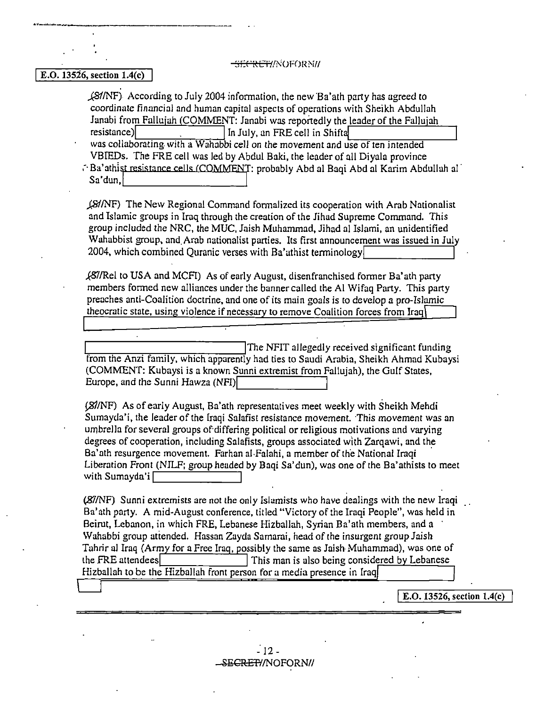-SECRET/NOFORNI/

#### E.O.  $13526$ , section  $1.4(c)$

ه - مستقدمات الراحي الواحد به المنهى بوارد و و براي من تعدد الراح الراح الى التار المنتجة و الراح ال<br>-

j&fNF) According to July 2004 information, the new 'Ba'ath party has agreed to coordinate financial and human capital aspects of operations with Sheikh Abdullah Janabi from Fallujah (COMMENT: Janabi was reportedly the leader of the Fallujah resistance) in July, an FRE cell in Shifta<br>was collaborating with a Wahabbi cell on the movement and use of ten intended

VBIEDs. The FRE cell was led by Abdul Baki, the leader of all Diyala province

∴ Ba'athist resistance cells (COMMENT: probably Abd al Baqi Abd al Karim Abdullah al<sup>-</sup> Sa'dun, 2001, 2001, 2001, 2001, 2001, 2001, 2001, 2001, 2001, 2001, 2001, 2001, 2001, 2001, 2001, 2001, 2001, 2001, 2001, 2001, 2001,

ffe!NF) The New Regional Command formalized its cooperation with Arab Nationalist and Islamic groups in Iraq through the creation of the Jihad Supreme Command. This group included the NRC, the MUC, Jaish Muhammad, Jihad al Islami, an unidentified Wahabbist group, and.Arab nationalist parties. Its first announcement was issued in July 2004, which combined Quranic verses with Ba'athist terminology

~/Rel to USA and MCFI) As of early August, disenfranchised former Ba' ath party members formed new alliances under the banner called the Al Wifaq Party. This party preaches anti-Coalition doctrine, and one of its main goals is to develop a pro-Islamic theocratic state, using violence if necessary to remove Coalition forces from Iraq

L---------------'T he NFIT allegedly received significant funding from the Anzi family, which apparently had ties to Saudi Arabia, Sheikh Ahmad Kubaysi (COMMENT: Kubaysi is a known Sunni extremist from Fallujah), the Gulf States, Europe, and the Sunni Hawza (NFI)

 $(S<sub>2</sub>/NF)$  As of early August, Ba'ath representatives meet weekly with Sheikh Mehdi Sumayda'i, the leader of the Iraqi Salafist resistance movement. This movement was an umbrella for several groups of·differing political or religious motivations and varying degrees of cooperation, including Salafists, groups associated with Zarqawi, and the Ba'ath resurgence movement. Farhan al·Falahi, a member of the National Iraqi · Liberation Front (NILF; group headed by Baqi Sa'dun), was one of the Ba'athists to meet with Sumayda'i [1989]

'87/NF) Sunni extremists are not the only Islamists who have dealings with the new Iraqi Ba'ath party. A mid-August conference, titled "Victory of the Iraqi People", was held in Beirut, Lebanon, in which FRE, Lebanese Hizballah, Syrian Ba'ath members, and a Wahabbi group atiended. Hassan Zayda Samarai, head of the insurgent group Jaish Tahrir al Iraq (Army for a Free Iraq, possibly the same as Jaish· Muhammad), was one of the FRE attendees! IThis man is also being considered b Lebanese Hizballah to be the Hizballah front person for a media presence in Iraq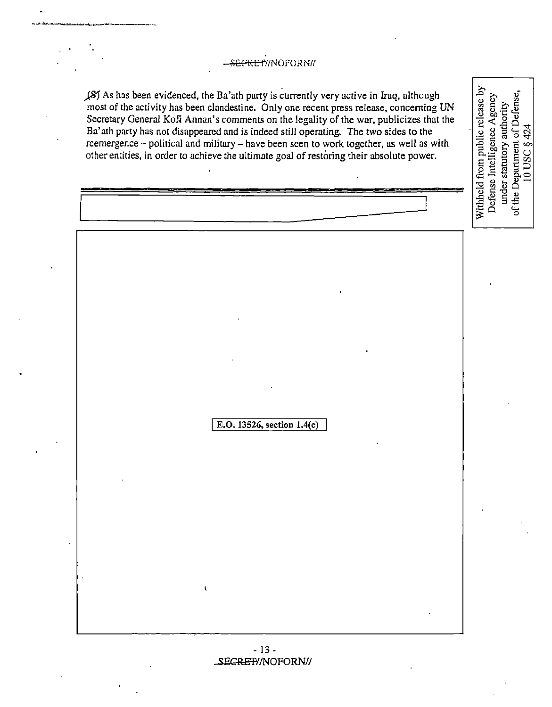### -SECRET//NOFORN//

j,8) As has been evidenced, the Ba'ath party is currently very active in Iraq, although most of the activity has been clandestine. Only one recent press release, concerning UN Secretary General Kofi Annan's comments on the legality of the war, publicizes that the Ba' ath party has not disappeared and is indeed still operating. The two sides to the reemergence - political and military - have been seen to work together, as well as with other entities, in order co achieve the ultimate goal of restoring their absolute power.

Withheld from public release by of the Department of Defense, Defense Intelligence Agency under statutory authority 424  $\ddot{\circ}$ 0USC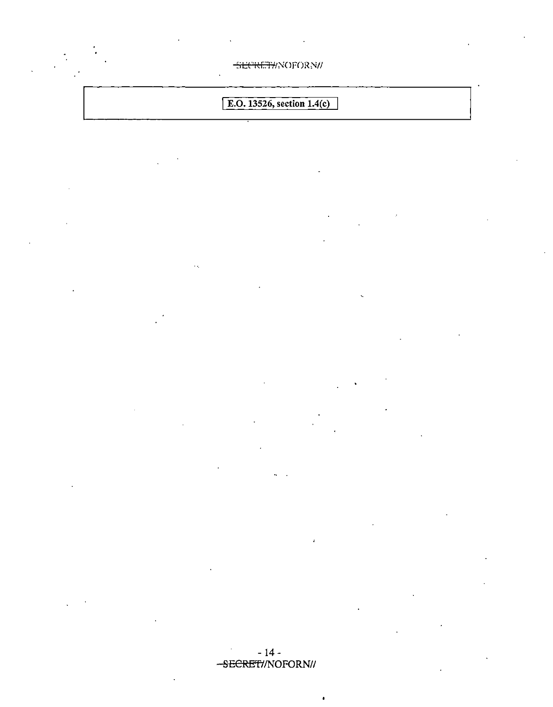SECRETI/NOFORN/